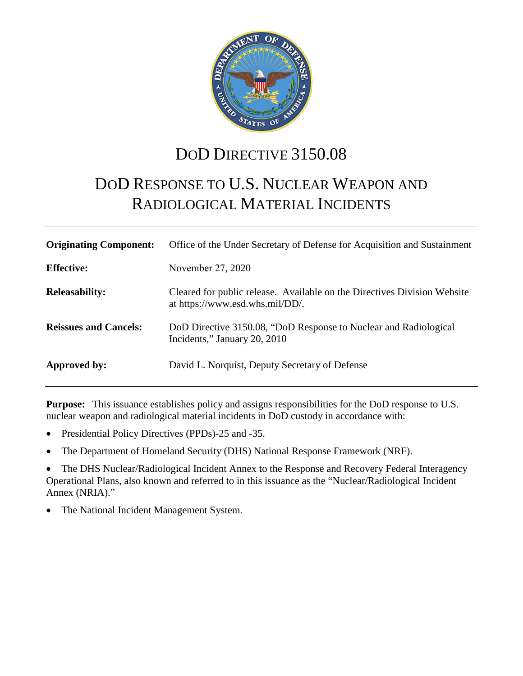

## DOD DIRECTIVE 3150.08

# DOD RESPONSE TO U.S. NUCLEAR WEAPON AND RADIOLOGICAL MATERIAL INCIDENTS

| <b>Originating Component:</b> | Office of the Under Secretary of Defense for Acquisition and Sustainment                                    |
|-------------------------------|-------------------------------------------------------------------------------------------------------------|
| <b>Effective:</b>             | November 27, 2020                                                                                           |
| <b>Releasability:</b>         | Cleared for public release. Available on the Directives Division Website<br>at https://www.esd.whs.mil/DD/. |
| <b>Reissues and Cancels:</b>  | DoD Directive 3150.08, "DoD Response to Nuclear and Radiological<br>Incidents," January 20, 2010            |
| Approved by:                  | David L. Norquist, Deputy Secretary of Defense                                                              |

**Purpose:** This issuance establishes policy and assigns responsibilities for the DoD response to U.S. nuclear weapon and radiological material incidents in DoD custody in accordance with:

- Presidential Policy Directives (PPDs)-25 and -35.
- The Department of Homeland Security (DHS) National Response Framework (NRF).

• The DHS Nuclear/Radiological Incident Annex to the Response and Recovery Federal Interagency Operational Plans, also known and referred to in this issuance as the "Nuclear/Radiological Incident Annex (NRIA)."

The National Incident Management System.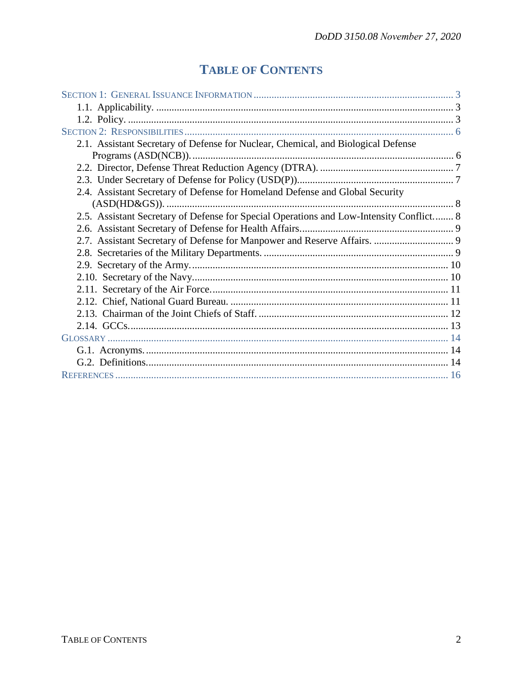## **TABLE OF CONTENTS**

| 2.1. Assistant Secretary of Defense for Nuclear, Chemical, and Biological Defense       |  |
|-----------------------------------------------------------------------------------------|--|
|                                                                                         |  |
|                                                                                         |  |
|                                                                                         |  |
| 2.4. Assistant Secretary of Defense for Homeland Defense and Global Security            |  |
|                                                                                         |  |
| 2.5. Assistant Secretary of Defense for Special Operations and Low-Intensity Conflict 8 |  |
|                                                                                         |  |
|                                                                                         |  |
|                                                                                         |  |
|                                                                                         |  |
|                                                                                         |  |
|                                                                                         |  |
|                                                                                         |  |
|                                                                                         |  |
|                                                                                         |  |
|                                                                                         |  |
|                                                                                         |  |
|                                                                                         |  |
|                                                                                         |  |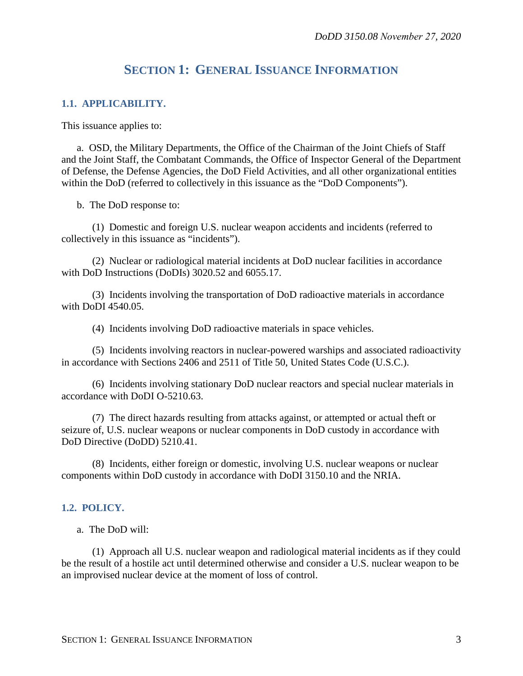### **SECTION 1: GENERAL ISSUANCE INFORMATION**

#### <span id="page-2-1"></span><span id="page-2-0"></span>**1.1. APPLICABILITY.**

This issuance applies to:

a. OSD, the Military Departments, the Office of the Chairman of the Joint Chiefs of Staff and the Joint Staff, the Combatant Commands, the Office of Inspector General of the Department of Defense, the Defense Agencies, the DoD Field Activities, and all other organizational entities within the DoD (referred to collectively in this issuance as the "DoD Components").

b. The DoD response to:

(1) Domestic and foreign U.S. nuclear weapon accidents and incidents (referred to collectively in this issuance as "incidents").

(2) Nuclear or radiological material incidents at DoD nuclear facilities in accordance with DoD Instructions (DoDIs) 3020.52 and 6055.17.

(3) Incidents involving the transportation of DoD radioactive materials in accordance with DoDI 4540.05.

(4) Incidents involving DoD radioactive materials in space vehicles.

(5) Incidents involving reactors in nuclear-powered warships and associated radioactivity in accordance with Sections 2406 and 2511 of Title 50, United States Code (U.S.C.).

(6) Incidents involving stationary DoD nuclear reactors and special nuclear materials in accordance with DoDI O-5210.63.

(7) The direct hazards resulting from attacks against, or attempted or actual theft or seizure of, U.S. nuclear weapons or nuclear components in DoD custody in accordance with DoD Directive (DoDD) 5210.41.

(8) Incidents, either foreign or domestic, involving U.S. nuclear weapons or nuclear components within DoD custody in accordance with DoDI 3150.10 and the NRIA.

#### <span id="page-2-2"></span>**1.2. POLICY.**

a. The DoD will:

(1) Approach all U.S. nuclear weapon and radiological material incidents as if they could be the result of a hostile act until determined otherwise and consider a U.S. nuclear weapon to be an improvised nuclear device at the moment of loss of control.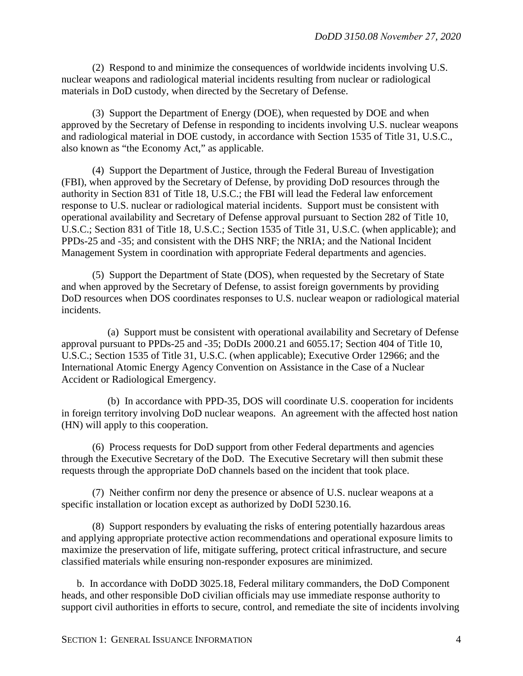(2) Respond to and minimize the consequences of worldwide incidents involving U.S. nuclear weapons and radiological material incidents resulting from nuclear or radiological materials in DoD custody, when directed by the Secretary of Defense.

(3) Support the Department of Energy (DOE), when requested by DOE and when approved by the Secretary of Defense in responding to incidents involving U.S. nuclear weapons and radiological material in DOE custody, in accordance with Section 1535 of Title 31, U.S.C., also known as "the Economy Act," as applicable.

(4) Support the Department of Justice, through the Federal Bureau of Investigation (FBI), when approved by the Secretary of Defense, by providing DoD resources through the authority in Section 831 of Title 18, U.S.C.; the FBI will lead the Federal law enforcement response to U.S. nuclear or radiological material incidents. Support must be consistent with operational availability and Secretary of Defense approval pursuant to Section 282 of Title 10, U.S.C.; Section 831 of Title 18, U.S.C.; Section 1535 of Title 31, U.S.C. (when applicable); and PPDs-25 and -35; and consistent with the DHS NRF; the NRIA; and the National Incident Management System in coordination with appropriate Federal departments and agencies.

(5) Support the Department of State (DOS), when requested by the Secretary of State and when approved by the Secretary of Defense, to assist foreign governments by providing DoD resources when DOS coordinates responses to U.S. nuclear weapon or radiological material incidents.

(a) Support must be consistent with operational availability and Secretary of Defense approval pursuant to PPDs-25 and -35; DoDIs 2000.21 and 6055.17; Section 404 of Title 10, U.S.C.; Section 1535 of Title 31, U.S.C. (when applicable); Executive Order 12966; and the International Atomic Energy Agency Convention on Assistance in the Case of a Nuclear Accident or Radiological Emergency.

(b) In accordance with PPD-35, DOS will coordinate U.S. cooperation for incidents in foreign territory involving DoD nuclear weapons. An agreement with the affected host nation (HN) will apply to this cooperation.

(6) Process requests for DoD support from other Federal departments and agencies through the Executive Secretary of the DoD. The Executive Secretary will then submit these requests through the appropriate DoD channels based on the incident that took place.

(7) Neither confirm nor deny the presence or absence of U.S. nuclear weapons at a specific installation or location except as authorized by DoDI 5230.16.

(8) Support responders by evaluating the risks of entering potentially hazardous areas and applying appropriate protective action recommendations and operational exposure limits to maximize the preservation of life, mitigate suffering, protect critical infrastructure, and secure classified materials while ensuring non-responder exposures are minimized.

b. In accordance with DoDD 3025.18, Federal military commanders, the DoD Component heads, and other responsible DoD civilian officials may use immediate response authority to support civil authorities in efforts to secure, control, and remediate the site of incidents involving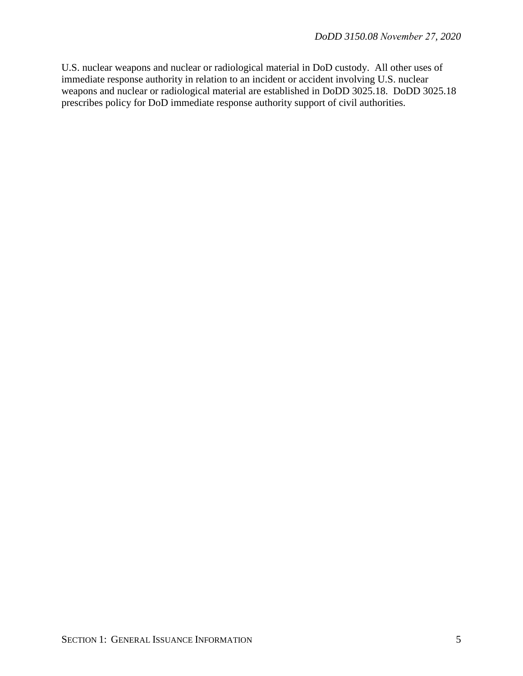U.S. nuclear weapons and nuclear or radiological material in DoD custody. All other uses of immediate response authority in relation to an incident or accident involving U.S. nuclear weapons and nuclear or radiological material are established in DoDD 3025.18. DoDD 3025.18 prescribes policy for DoD immediate response authority support of civil authorities.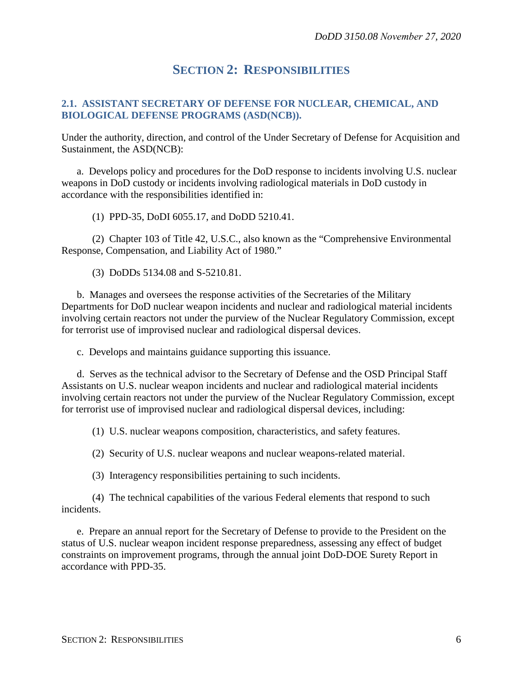### **SECTION 2: RESPONSIBILITIES**

#### <span id="page-5-1"></span><span id="page-5-0"></span>**2.1. ASSISTANT SECRETARY OF DEFENSE FOR NUCLEAR, CHEMICAL, AND BIOLOGICAL DEFENSE PROGRAMS (ASD(NCB)).**

Under the authority, direction, and control of the Under Secretary of Defense for Acquisition and Sustainment, the ASD(NCB):

a. Develops policy and procedures for the DoD response to incidents involving U.S. nuclear weapons in DoD custody or incidents involving radiological materials in DoD custody in accordance with the responsibilities identified in:

(1) PPD-35, DoDI 6055.17, and DoDD 5210.41.

(2) Chapter 103 of Title 42, U.S.C., also known as the "Comprehensive Environmental Response, Compensation, and Liability Act of 1980."

(3) DoDDs 5134.08 and S-5210.81.

b. Manages and oversees the response activities of the Secretaries of the Military Departments for DoD nuclear weapon incidents and nuclear and radiological material incidents involving certain reactors not under the purview of the Nuclear Regulatory Commission, except for terrorist use of improvised nuclear and radiological dispersal devices.

c. Develops and maintains guidance supporting this issuance.

d. Serves as the technical advisor to the Secretary of Defense and the OSD Principal Staff Assistants on U.S. nuclear weapon incidents and nuclear and radiological material incidents involving certain reactors not under the purview of the Nuclear Regulatory Commission, except for terrorist use of improvised nuclear and radiological dispersal devices, including:

(1) U.S. nuclear weapons composition, characteristics, and safety features.

(2) Security of U.S. nuclear weapons and nuclear weapons-related material.

(3) Interagency responsibilities pertaining to such incidents.

(4) The technical capabilities of the various Federal elements that respond to such incidents.

e. Prepare an annual report for the Secretary of Defense to provide to the President on the status of U.S. nuclear weapon incident response preparedness, assessing any effect of budget constraints on improvement programs, through the annual joint DoD-DOE Surety Report in accordance with PPD-35.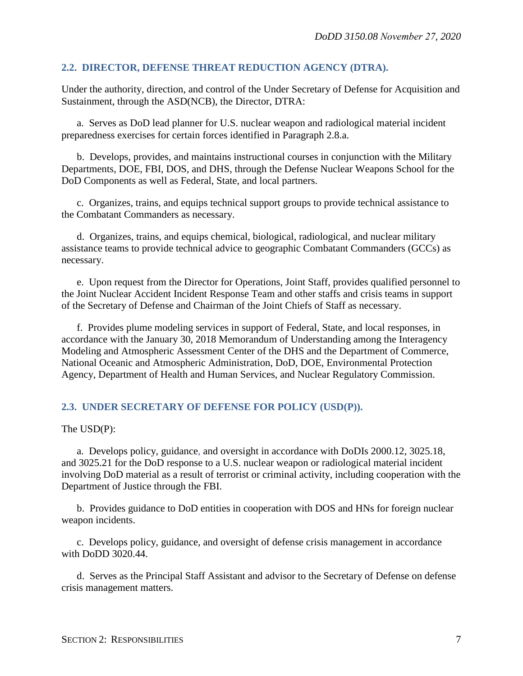#### <span id="page-6-0"></span>**2.2. DIRECTOR, DEFENSE THREAT REDUCTION AGENCY (DTRA).**

Under the authority, direction, and control of the Under Secretary of Defense for Acquisition and Sustainment, through the ASD(NCB), the Director, DTRA:

a. Serves as DoD lead planner for U.S. nuclear weapon and radiological material incident preparedness exercises for certain forces identified in Paragraph 2.8.a.

b. Develops, provides, and maintains instructional courses in conjunction with the Military Departments, DOE, FBI, DOS, and DHS, through the Defense Nuclear Weapons School for the DoD Components as well as Federal, State, and local partners.

c. Organizes, trains, and equips technical support groups to provide technical assistance to the Combatant Commanders as necessary.

d. Organizes, trains, and equips chemical, biological, radiological, and nuclear military assistance teams to provide technical advice to geographic Combatant Commanders (GCCs) as necessary.

e. Upon request from the Director for Operations, Joint Staff, provides qualified personnel to the Joint Nuclear Accident Incident Response Team and other staffs and crisis teams in support of the Secretary of Defense and Chairman of the Joint Chiefs of Staff as necessary.

f. Provides plume modeling services in support of Federal, State, and local responses, in accordance with the January 30, 2018 Memorandum of Understanding among the Interagency Modeling and Atmospheric Assessment Center of the DHS and the Department of Commerce, National Oceanic and Atmospheric Administration, DoD, DOE, Environmental Protection Agency, Department of Health and Human Services, and Nuclear Regulatory Commission.

#### <span id="page-6-1"></span>**2.3. UNDER SECRETARY OF DEFENSE FOR POLICY (USD(P)).**

The USD(P):

a. Develops policy, guidance, and oversight in accordance with DoDIs 2000.12, 3025.18, and 3025.21 for the DoD response to a U.S. nuclear weapon or radiological material incident involving DoD material as a result of terrorist or criminal activity, including cooperation with the Department of Justice through the FBI.

b. Provides guidance to DoD entities in cooperation with DOS and HNs for foreign nuclear weapon incidents.

c. Develops policy, guidance, and oversight of defense crisis management in accordance with DoDD 3020.44.

d. Serves as the Principal Staff Assistant and advisor to the Secretary of Defense on defense crisis management matters.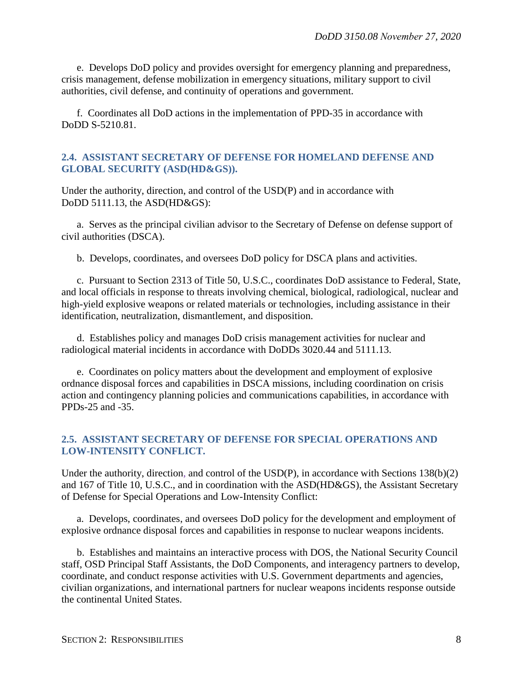e. Develops DoD policy and provides oversight for emergency planning and preparedness, crisis management, defense mobilization in emergency situations, military support to civil authorities, civil defense, and continuity of operations and government.

f. Coordinates all DoD actions in the implementation of PPD-35 in accordance with DoDD S-5210.81.

#### <span id="page-7-0"></span>**2.4. ASSISTANT SECRETARY OF DEFENSE FOR HOMELAND DEFENSE AND GLOBAL SECURITY (ASD(HD&GS)).**

Under the authority, direction, and control of the USD(P) and in accordance with DoDD 5111.13, the ASD(HD&GS):

a. Serves as the principal civilian advisor to the Secretary of Defense on defense support of civil authorities (DSCA).

b. Develops, coordinates, and oversees DoD policy for DSCA plans and activities.

c. Pursuant to Section 2313 of Title 50, U.S.C., coordinates DoD assistance to Federal, State, and local officials in response to threats involving chemical, biological, radiological, nuclear and high-yield explosive weapons or related materials or technologies, including assistance in their identification, neutralization, dismantlement, and disposition.

d. Establishes policy and manages DoD crisis management activities for nuclear and radiological material incidents in accordance with DoDDs 3020.44 and 5111.13.

e. Coordinates on policy matters about the development and employment of explosive ordnance disposal forces and capabilities in DSCA missions, including coordination on crisis action and contingency planning policies and communications capabilities, in accordance with PPDs-25 and -35.

#### <span id="page-7-1"></span>**2.5. ASSISTANT SECRETARY OF DEFENSE FOR SPECIAL OPERATIONS AND LOW-INTENSITY CONFLICT.**

Under the authority, direction, and control of the USD(P), in accordance with Sections 138(b)(2) and 167 of Title 10, U.S.C., and in coordination with the ASD(HD&GS), the Assistant Secretary of Defense for Special Operations and Low-Intensity Conflict:

a. Develops, coordinates, and oversees DoD policy for the development and employment of explosive ordnance disposal forces and capabilities in response to nuclear weapons incidents.

b. Establishes and maintains an interactive process with DOS, the National Security Council staff, OSD Principal Staff Assistants, the DoD Components, and interagency partners to develop, coordinate, and conduct response activities with U.S. Government departments and agencies, civilian organizations, and international partners for nuclear weapons incidents response outside the continental United States.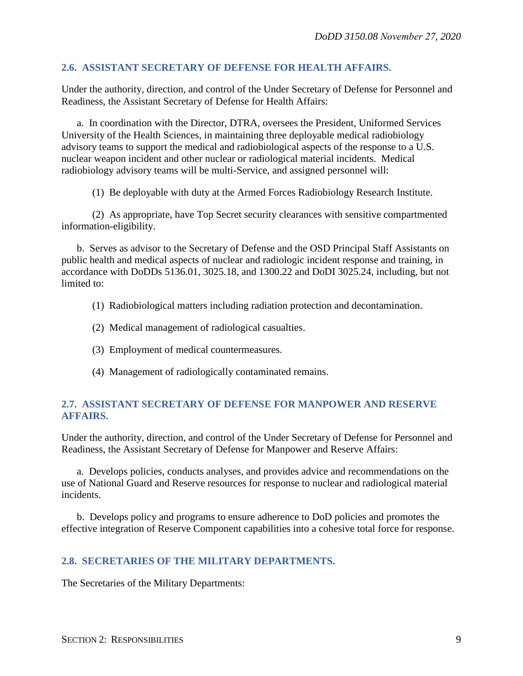#### <span id="page-8-0"></span>**2.6. ASSISTANT SECRETARY OF DEFENSE FOR HEALTH AFFAIRS.**

Under the authority, direction, and control of the Under Secretary of Defense for Personnel and Readiness, the Assistant Secretary of Defense for Health Affairs:

a. In coordination with the Director, DTRA, oversees the President, Uniformed Services University of the Health Sciences, in maintaining three deployable medical radiobiology advisory teams to support the medical and radiobiological aspects of the response to a U.S. nuclear weapon incident and other nuclear or radiological material incidents. Medical radiobiology advisory teams will be multi-Service, and assigned personnel will:

(1) Be deployable with duty at the Armed Forces Radiobiology Research Institute.

(2) As appropriate, have Top Secret security clearances with sensitive compartmented information-eligibility.

b. Serves as advisor to the Secretary of Defense and the OSD Principal Staff Assistants on public health and medical aspects of nuclear and radiologic incident response and training, in accordance with DoDDs 5136.01, 3025.18, and 1300.22 and DoDI 3025.24, including, but not limited to:

- (1) Radiobiological matters including radiation protection and decontamination.
- (2) Medical management of radiological casualties.
- (3) Employment of medical countermeasures.
- (4) Management of radiologically contaminated remains.

#### <span id="page-8-1"></span>**2.7. ASSISTANT SECRETARY OF DEFENSE FOR MANPOWER AND RESERVE AFFAIRS.**

Under the authority, direction, and control of the Under Secretary of Defense for Personnel and Readiness, the Assistant Secretary of Defense for Manpower and Reserve Affairs:

a. Develops policies, conducts analyses, and provides advice and recommendations on the use of National Guard and Reserve resources for response to nuclear and radiological material incidents.

b. Develops policy and programs to ensure adherence to DoD policies and promotes the effective integration of Reserve Component capabilities into a cohesive total force for response.

#### <span id="page-8-2"></span>**2.8. SECRETARIES OF THE MILITARY DEPARTMENTS.**

The Secretaries of the Military Departments: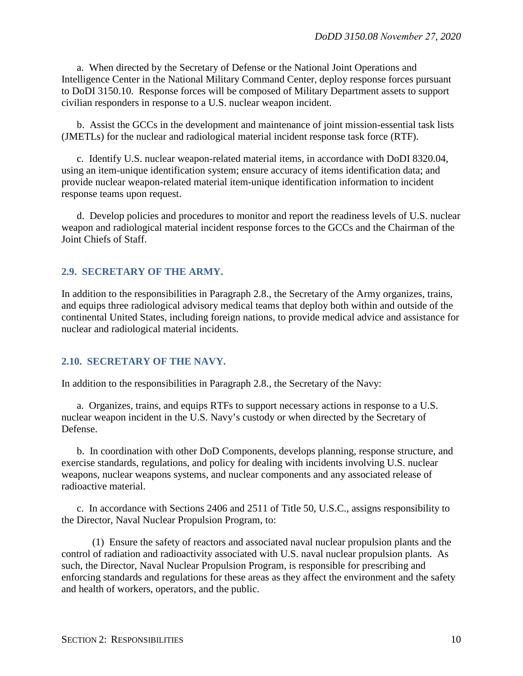a. When directed by the Secretary of Defense or the National Joint Operations and Intelligence Center in the National Military Command Center, deploy response forces pursuant to DoDI 3150.10. Response forces will be composed of Military Department assets to support civilian responders in response to a U.S. nuclear weapon incident.

b. Assist the GCCs in the development and maintenance of joint mission-essential task lists (JMETLs) for the nuclear and radiological material incident response task force (RTF).

c. Identify U.S. nuclear weapon-related material items, in accordance with DoDI 8320.04, using an item-unique identification system; ensure accuracy of items identification data; and provide nuclear weapon-related material item-unique identification information to incident response teams upon request.

d. Develop policies and procedures to monitor and report the readiness levels of U.S. nuclear weapon and radiological material incident response forces to the GCCs and the Chairman of the Joint Chiefs of Staff.

#### <span id="page-9-0"></span>**2.9. SECRETARY OF THE ARMY.**

In addition to the responsibilities in Paragraph 2.8., the Secretary of the Army organizes, trains, and equips three radiological advisory medical teams that deploy both within and outside of the continental United States, including foreign nations, to provide medical advice and assistance for nuclear and radiological material incidents.

#### <span id="page-9-1"></span>**2.10. SECRETARY OF THE NAVY.**

In addition to the responsibilities in Paragraph 2.8., the Secretary of the Navy:

a. Organizes, trains, and equips RTFs to support necessary actions in response to a U.S. nuclear weapon incident in the U.S. Navy's custody or when directed by the Secretary of Defense.

b. In coordination with other DoD Components, develops planning, response structure, and exercise standards, regulations, and policy for dealing with incidents involving U.S. nuclear weapons, nuclear weapons systems, and nuclear components and any associated release of radioactive material.

c. In accordance with Sections 2406 and 2511 of Title 50, U.S.C., assigns responsibility to the Director, Naval Nuclear Propulsion Program, to:

(1) Ensure the safety of reactors and associated naval nuclear propulsion plants and the control of radiation and radioactivity associated with U.S. naval nuclear propulsion plants. As such, the Director, Naval Nuclear Propulsion Program, is responsible for prescribing and enforcing standards and regulations for these areas as they affect the environment and the safety and health of workers, operators, and the public.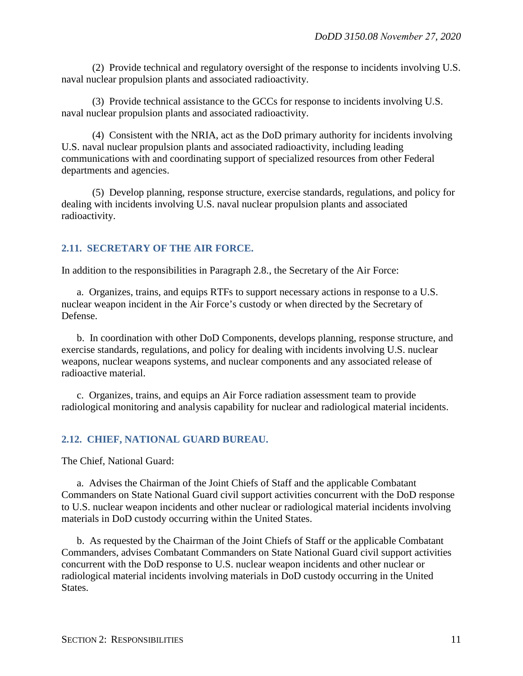(2) Provide technical and regulatory oversight of the response to incidents involving U.S. naval nuclear propulsion plants and associated radioactivity.

(3) Provide technical assistance to the GCCs for response to incidents involving U.S. naval nuclear propulsion plants and associated radioactivity.

(4) Consistent with the NRIA, act as the DoD primary authority for incidents involving U.S. naval nuclear propulsion plants and associated radioactivity, including leading communications with and coordinating support of specialized resources from other Federal departments and agencies.

(5) Develop planning, response structure, exercise standards, regulations, and policy for dealing with incidents involving U.S. naval nuclear propulsion plants and associated radioactivity.

#### <span id="page-10-0"></span>**2.11. SECRETARY OF THE AIR FORCE.**

In addition to the responsibilities in Paragraph 2.8., the Secretary of the Air Force:

a. Organizes, trains, and equips RTFs to support necessary actions in response to a U.S. nuclear weapon incident in the Air Force's custody or when directed by the Secretary of Defense.

b. In coordination with other DoD Components, develops planning, response structure, and exercise standards, regulations, and policy for dealing with incidents involving U.S. nuclear weapons, nuclear weapons systems, and nuclear components and any associated release of radioactive material.

c. Organizes, trains, and equips an Air Force radiation assessment team to provide radiological monitoring and analysis capability for nuclear and radiological material incidents.

#### <span id="page-10-1"></span>**2.12. CHIEF, NATIONAL GUARD BUREAU.**

The Chief, National Guard:

a. Advises the Chairman of the Joint Chiefs of Staff and the applicable Combatant Commanders on State National Guard civil support activities concurrent with the DoD response to U.S. nuclear weapon incidents and other nuclear or radiological material incidents involving materials in DoD custody occurring within the United States.

b. As requested by the Chairman of the Joint Chiefs of Staff or the applicable Combatant Commanders, advises Combatant Commanders on State National Guard civil support activities concurrent with the DoD response to U.S. nuclear weapon incidents and other nuclear or radiological material incidents involving materials in DoD custody occurring in the United States.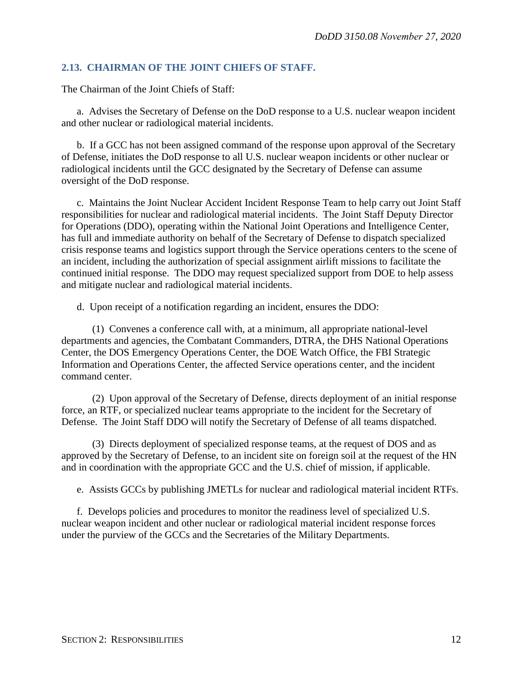#### <span id="page-11-0"></span>**2.13. CHAIRMAN OF THE JOINT CHIEFS OF STAFF.**

The Chairman of the Joint Chiefs of Staff:

a. Advises the Secretary of Defense on the DoD response to a U.S. nuclear weapon incident and other nuclear or radiological material incidents.

b. If a GCC has not been assigned command of the response upon approval of the Secretary of Defense, initiates the DoD response to all U.S. nuclear weapon incidents or other nuclear or radiological incidents until the GCC designated by the Secretary of Defense can assume oversight of the DoD response.

c. Maintains the Joint Nuclear Accident Incident Response Team to help carry out Joint Staff responsibilities for nuclear and radiological material incidents. The Joint Staff Deputy Director for Operations (DDO), operating within the National Joint Operations and Intelligence Center, has full and immediate authority on behalf of the Secretary of Defense to dispatch specialized crisis response teams and logistics support through the Service operations centers to the scene of an incident, including the authorization of special assignment airlift missions to facilitate the continued initial response. The DDO may request specialized support from DOE to help assess and mitigate nuclear and radiological material incidents.

d. Upon receipt of a notification regarding an incident, ensures the DDO:

(1) Convenes a conference call with, at a minimum, all appropriate national-level departments and agencies, the Combatant Commanders, DTRA, the DHS National Operations Center, the DOS Emergency Operations Center, the DOE Watch Office, the FBI Strategic Information and Operations Center, the affected Service operations center, and the incident command center.

(2) Upon approval of the Secretary of Defense, directs deployment of an initial response force, an RTF, or specialized nuclear teams appropriate to the incident for the Secretary of Defense. The Joint Staff DDO will notify the Secretary of Defense of all teams dispatched.

(3) Directs deployment of specialized response teams, at the request of DOS and as approved by the Secretary of Defense, to an incident site on foreign soil at the request of the HN and in coordination with the appropriate GCC and the U.S. chief of mission, if applicable.

e. Assists GCCs by publishing JMETLs for nuclear and radiological material incident RTFs.

f. Develops policies and procedures to monitor the readiness level of specialized U.S. nuclear weapon incident and other nuclear or radiological material incident response forces under the purview of the GCCs and the Secretaries of the Military Departments.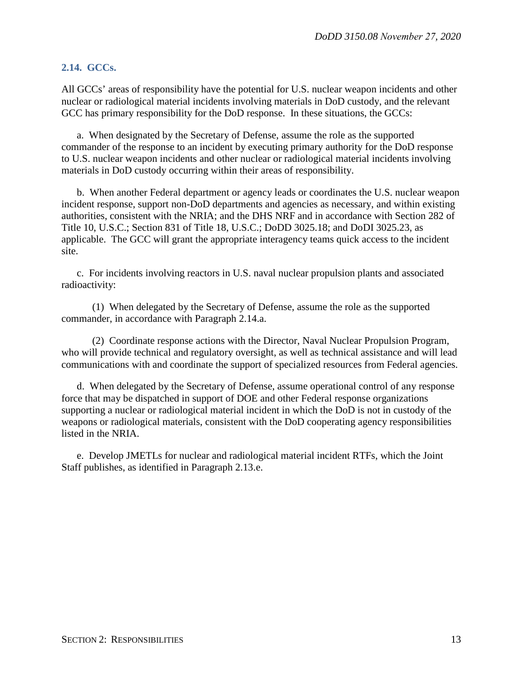#### <span id="page-12-0"></span>**2.14. GCCs.**

All GCCs' areas of responsibility have the potential for U.S. nuclear weapon incidents and other nuclear or radiological material incidents involving materials in DoD custody, and the relevant GCC has primary responsibility for the DoD response. In these situations, the GCCs:

a. When designated by the Secretary of Defense, assume the role as the supported commander of the response to an incident by executing primary authority for the DoD response to U.S. nuclear weapon incidents and other nuclear or radiological material incidents involving materials in DoD custody occurring within their areas of responsibility.

b. When another Federal department or agency leads or coordinates the U.S. nuclear weapon incident response, support non-DoD departments and agencies as necessary, and within existing authorities, consistent with the NRIA; and the DHS NRF and in accordance with Section 282 of Title 10, U.S.C.; Section 831 of Title 18, U.S.C.; DoDD 3025.18; and DoDI 3025.23, as applicable. The GCC will grant the appropriate interagency teams quick access to the incident site.

c. For incidents involving reactors in U.S. naval nuclear propulsion plants and associated radioactivity:

(1) When delegated by the Secretary of Defense, assume the role as the supported commander, in accordance with Paragraph 2.14.a.

(2) Coordinate response actions with the Director, Naval Nuclear Propulsion Program, who will provide technical and regulatory oversight, as well as technical assistance and will lead communications with and coordinate the support of specialized resources from Federal agencies.

d. When delegated by the Secretary of Defense, assume operational control of any response force that may be dispatched in support of DOE and other Federal response organizations supporting a nuclear or radiological material incident in which the DoD is not in custody of the weapons or radiological materials, consistent with the DoD cooperating agency responsibilities listed in the NRIA.

e. Develop JMETLs for nuclear and radiological material incident RTFs, which the Joint Staff publishes, as identified in Paragraph 2.13.e.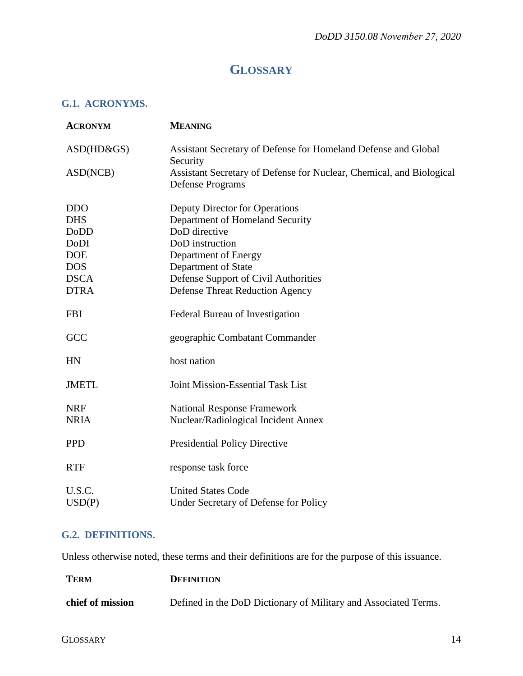## **GLOSSARY**

#### <span id="page-13-1"></span><span id="page-13-0"></span>**G.1. ACRONYMS.**

| <b>ACRONYM</b>   | <b>MEANING</b>                                                                                  |
|------------------|-------------------------------------------------------------------------------------------------|
| ASD(HD&GS)       | Assistant Secretary of Defense for Homeland Defense and Global<br>Security                      |
| ASD(NCB)         | Assistant Secretary of Defense for Nuclear, Chemical, and Biological<br><b>Defense Programs</b> |
| <b>DDO</b>       | Deputy Director for Operations                                                                  |
| <b>DHS</b>       | Department of Homeland Security                                                                 |
| <b>DoDD</b>      | DoD directive                                                                                   |
| DoDI             | DoD instruction                                                                                 |
| <b>DOE</b>       | Department of Energy                                                                            |
| <b>DOS</b>       | Department of State                                                                             |
| <b>DSCA</b>      | Defense Support of Civil Authorities                                                            |
| <b>DTRA</b>      | <b>Defense Threat Reduction Agency</b>                                                          |
| <b>FBI</b>       | Federal Bureau of Investigation                                                                 |
| GCC              | geographic Combatant Commander                                                                  |
| HN               | host nation                                                                                     |
| <b>JMETL</b>     | <b>Joint Mission-Essential Task List</b>                                                        |
| <b>NRF</b>       | <b>National Response Framework</b>                                                              |
| <b>NRIA</b>      | Nuclear/Radiological Incident Annex                                                             |
| <b>PPD</b>       | <b>Presidential Policy Directive</b>                                                            |
| <b>RTF</b>       | response task force                                                                             |
| U.S.C.<br>USD(P) | <b>United States Code</b><br>Under Secretary of Defense for Policy                              |

#### <span id="page-13-2"></span>**G.2. DEFINITIONS.**

Unless otherwise noted, these terms and their definitions are for the purpose of this issuance.

| <b>TERM</b>      | <b>DEFINITION</b>                                               |
|------------------|-----------------------------------------------------------------|
| chief of mission | Defined in the DoD Dictionary of Military and Associated Terms. |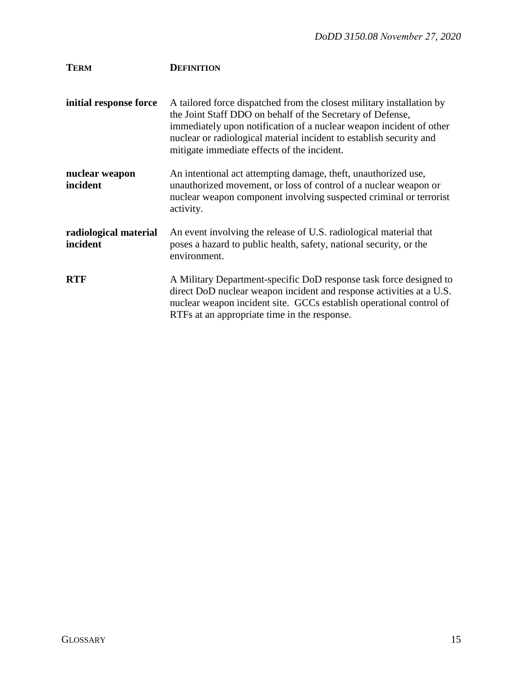| <b>TERM</b>                       | <b>DEFINITION</b>                                                                                                                                                                                                                                                                                                                |
|-----------------------------------|----------------------------------------------------------------------------------------------------------------------------------------------------------------------------------------------------------------------------------------------------------------------------------------------------------------------------------|
| initial response force            | A tailored force dispatched from the closest military installation by<br>the Joint Staff DDO on behalf of the Secretary of Defense,<br>immediately upon notification of a nuclear weapon incident of other<br>nuclear or radiological material incident to establish security and<br>mitigate immediate effects of the incident. |
| nuclear weapon<br>incident        | An intentional act attempting damage, theft, unauthorized use,<br>unauthorized movement, or loss of control of a nuclear weapon or<br>nuclear weapon component involving suspected criminal or terrorist<br>activity.                                                                                                            |
| radiological material<br>incident | An event involving the release of U.S. radiological material that<br>poses a hazard to public health, safety, national security, or the<br>environment.                                                                                                                                                                          |
| <b>RTF</b>                        | A Military Department-specific DoD response task force designed to<br>direct DoD nuclear weapon incident and response activities at a U.S.<br>nuclear weapon incident site. GCCs establish operational control of<br>RTFs at an appropriate time in the response.                                                                |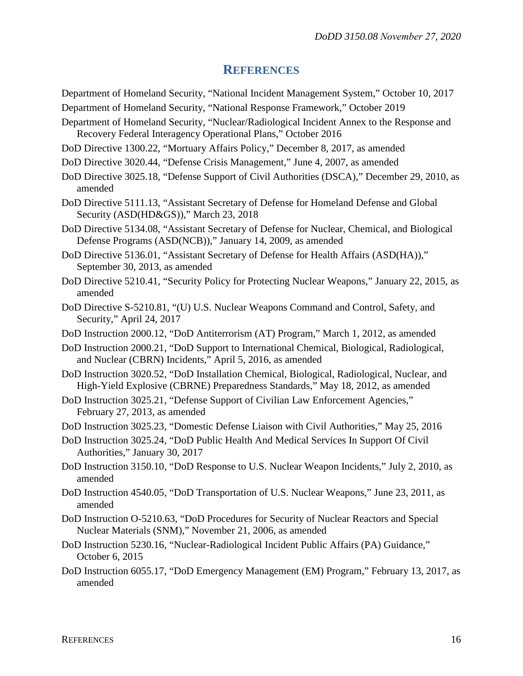#### **REFERENCES**

- <span id="page-15-0"></span>Department of Homeland Security, "National Incident Management System," October 10, 2017 Department of Homeland Security, "National Response Framework," October 2019
- Department of Homeland Security, "Nuclear/Radiological Incident Annex to the Response and Recovery Federal Interagency Operational Plans," October 2016
- DoD Directive 1300.22, "Mortuary Affairs Policy," December 8, 2017, as amended
- DoD Directive 3020.44, "Defense Crisis Management," June 4, 2007, as amended
- DoD Directive 3025.18, "Defense Support of Civil Authorities (DSCA)," December 29, 2010, as amended
- DoD Directive 5111.13, "Assistant Secretary of Defense for Homeland Defense and Global Security (ASD(HD&GS))," March 23, 2018
- DoD Directive 5134.08, "Assistant Secretary of Defense for Nuclear, Chemical, and Biological Defense Programs (ASD(NCB))," January 14, 2009, as amended
- DoD Directive 5136.01, "Assistant Secretary of Defense for Health Affairs (ASD(HA))," September 30, 2013, as amended
- DoD Directive 5210.41, "Security Policy for Protecting Nuclear Weapons," January 22, 2015, as amended
- DoD Directive S-5210.81, "(U) U.S. Nuclear Weapons Command and Control, Safety, and Security," April 24, 2017
- DoD Instruction 2000.12, "DoD Antiterrorism (AT) Program," March 1, 2012, as amended
- DoD Instruction 2000.21, "DoD Support to International Chemical, Biological, Radiological, and Nuclear (CBRN) Incidents," April 5, 2016, as amended
- DoD Instruction 3020.52, "DoD Installation Chemical, Biological, Radiological, Nuclear, and High-Yield Explosive (CBRNE) Preparedness Standards," May 18, 2012, as amended
- DoD Instruction 3025.21, "Defense Support of Civilian Law Enforcement Agencies," February 27, 2013, as amended
- DoD Instruction 3025.23, "Domestic Defense Liaison with Civil Authorities," May 25, 2016
- DoD Instruction 3025.24, "DoD Public Health And Medical Services In Support Of Civil Authorities," January 30, 2017
- DoD Instruction 3150.10, "DoD Response to U.S. Nuclear Weapon Incidents," July 2, 2010, as amended
- DoD Instruction 4540.05, "DoD Transportation of U.S. Nuclear Weapons," June 23, 2011, as amended
- DoD Instruction O-5210.63, "DoD Procedures for Security of Nuclear Reactors and Special Nuclear Materials (SNM)," November 21, 2006, as amended
- DoD Instruction 5230.16, "Nuclear-Radiological Incident Public Affairs (PA) Guidance," October 6, 2015
- DoD Instruction 6055.17, "DoD Emergency Management (EM) Program," February 13, 2017, as amended